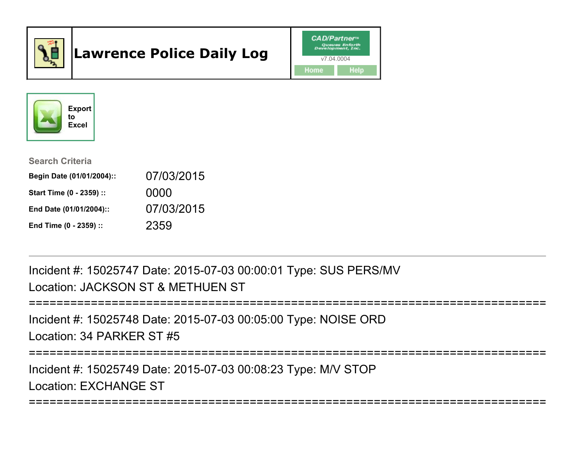

# Lawrence Police Daily Log





#### Search Criteria

| Begin Date (01/01/2004):: | 07/03/2015 |
|---------------------------|------------|
| Start Time (0 - 2359) ::  | 0000       |
| End Date (01/01/2004)::   | 07/03/2015 |
| End Time (0 - 2359) ::    | 2359       |

Incident #: 15025747 Date: 2015-07-03 00:00:01 Type: SUS PERS/MVLocation: JACKSON ST & METHUEN ST

```
===========================================================================
```
Incident #: 15025748 Date: 2015-07-03 00:05:00 Type: NOISE ORDLocation: 34 PARKER ST #5

===========================================================================

===========================================================================

Incident #: 15025749 Date: 2015-07-03 00:08:23 Type: M/V STOPLocation: EXCHANGE ST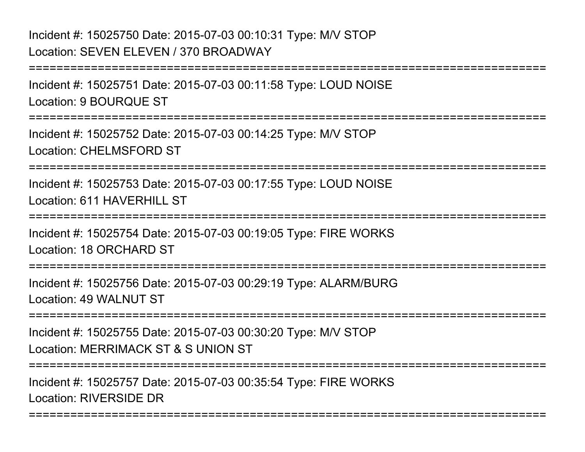# Incident #: 15025750 Date: 2015-07-03 00:10:31 Type: M/V STOPLocation: SEVEN ELEVEN / 370 BROADWAY

===========================================================================Incident #: 15025751 Date: 2015-07-03 00:11:58 Type: LOUD NOISELocation: 9 BOURQUE ST===========================================================================Incident #: 15025752 Date: 2015-07-03 00:14:25 Type: M/V STOPLocation: CHELMSFORD ST===========================================================================Incident #: 15025753 Date: 2015-07-03 00:17:55 Type: LOUD NOISELocation: 611 HAVERHILL ST===========================================================================Incident #: 15025754 Date: 2015-07-03 00:19:05 Type: FIRE WORKSLocation: 18 ORCHARD ST**==============** Incident #: 15025756 Date: 2015-07-03 00:29:19 Type: ALARM/BURGLocation: 49 WALNUT ST===========================================================================Incident #: 15025755 Date: 2015-07-03 00:30:20 Type: M/V STOPLocation: MERRIMACK ST & S UNION ST===========================================================================Incident #: 15025757 Date: 2015-07-03 00:35:54 Type: FIRE WORKSLocation: RIVERSIDE DR===========================================================================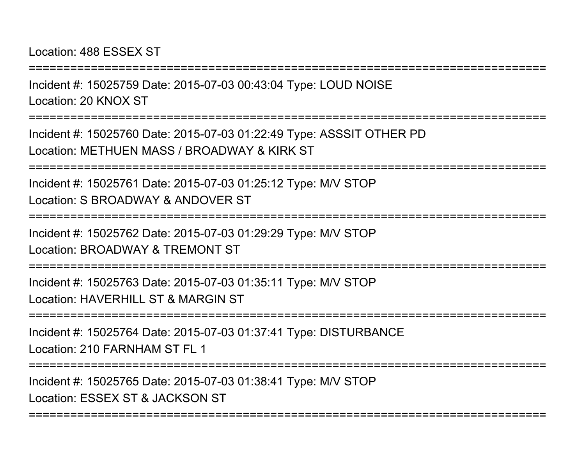Location: 488 ESSEX ST

===========================================================================Incident #: 15025759 Date: 2015-07-03 00:43:04 Type: LOUD NOISELocation: 20 KNOX ST===========================================================================Incident #: 15025760 Date: 2015-07-03 01:22:49 Type: ASSSIT OTHER PDLocation: METHUEN MASS / BROADWAY & KIRK ST===========================================================================Incident #: 15025761 Date: 2015-07-03 01:25:12 Type: M/V STOPLocation: S BROADWAY & ANDOVER ST===========================================================================Incident #: 15025762 Date: 2015-07-03 01:29:29 Type: M/V STOPLocation: BROADWAY & TREMONT ST===========================================================================Incident #: 15025763 Date: 2015-07-03 01:35:11 Type: M/V STOPLocation: HAVERHILL ST & MARGIN ST ===========================================================================Incident #: 15025764 Date: 2015-07-03 01:37:41 Type: DISTURBANCELocation: 210 FARNHAM ST FL 1===========================================================================Incident #: 15025765 Date: 2015-07-03 01:38:41 Type: M/V STOPLocation: ESSEX ST & JACKSON ST===========================================================================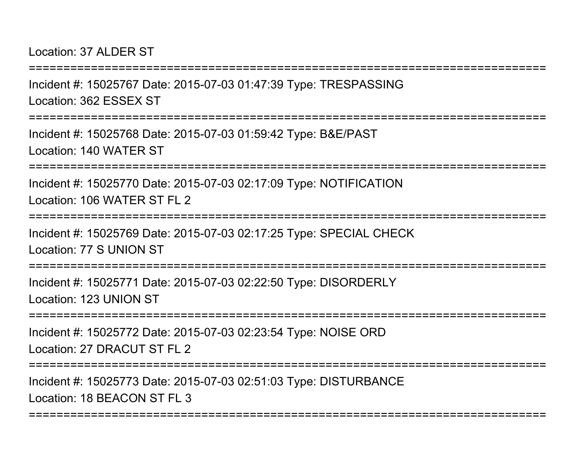Location: 37 ALDER ST

===========================================================================Incident #: 15025767 Date: 2015-07-03 01:47:39 Type: TRESPASSINGLocation: 362 ESSEX ST===========================================================================Incident #: 15025768 Date: 2015-07-03 01:59:42 Type: B&E/PASTLocation: 140 WATER ST===========================================================================Incident #: 15025770 Date: 2015-07-03 02:17:09 Type: NOTIFICATIONLocation: 106 WATER ST FL 2================= Incident #: 15025769 Date: 2015-07-03 02:17:25 Type: SPECIAL CHECKLocation: 77 S UNION ST===========================================================================Incident #: 15025771 Date: 2015-07-03 02:22:50 Type: DISORDERLYLocation: 123 UNION ST===========================================================================Incident #: 15025772 Date: 2015-07-03 02:23:54 Type: NOISE ORDLocation: 27 DRACUT ST FL 2===========================================================================Incident #: 15025773 Date: 2015-07-03 02:51:03 Type: DISTURBANCE

===========================================================================

Location: 18 BEACON ST FL 3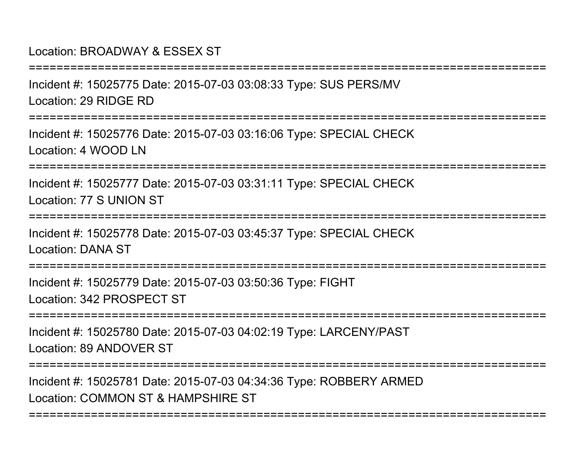### Location: BROADWAY & ESSEX ST

===========================================================================Incident #: 15025775 Date: 2015-07-03 03:08:33 Type: SUS PERS/MVLocation: 29 RIDGE RD===========================================================================Incident #: 15025776 Date: 2015-07-03 03:16:06 Type: SPECIAL CHECKLocation: 4 WOOD LN===========================================================================Incident #: 15025777 Date: 2015-07-03 03:31:11 Type: SPECIAL CHECKLocation: 77 S UNION ST===========================================================================Incident #: 15025778 Date: 2015-07-03 03:45:37 Type: SPECIAL CHECKLocation: DANA ST===========================================================================Incident #: 15025779 Date: 2015-07-03 03:50:36 Type: FIGHTLocation: 342 PROSPECT ST===========================================================================Incident #: 15025780 Date: 2015-07-03 04:02:19 Type: LARCENY/PASTLocation: 89 ANDOVER ST===========================================================================Incident #: 15025781 Date: 2015-07-03 04:34:36 Type: ROBBERY ARMEDLocation: COMMON ST & HAMPSHIRE ST

===========================================================================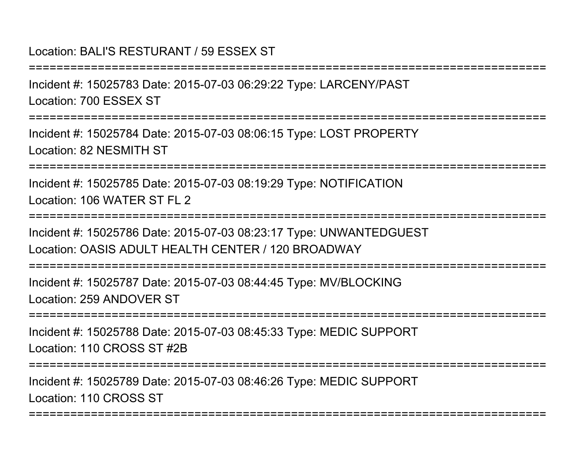# Location: BALI'S RESTURANT / 59 ESSEX ST

Incident #: 15025783 Date: 2015-07-03 06:29:22 Type: LARCENY/PASTLocation: 700 ESSEX ST

===========================================================================

===========================================================================

Incident #: 15025784 Date: 2015-07-03 08:06:15 Type: LOST PROPERTYLocation: 82 NESMITH ST

===========================================================================

Incident #: 15025785 Date: 2015-07-03 08:19:29 Type: NOTIFICATIONLocation: 106 WATER ST FL 2

===========================================================================

Incident #: 15025786 Date: 2015-07-03 08:23:17 Type: UNWANTEDGUESTLocation: OASIS ADULT HEALTH CENTER / 120 BROADWAY

===========================================================================

Incident #: 15025787 Date: 2015-07-03 08:44:45 Type: MV/BLOCKINGLocation: 259 ANDOVER ST

===========================================================================

Incident #: 15025788 Date: 2015-07-03 08:45:33 Type: MEDIC SUPPORTLocation: 110 CROSS ST #2B

===========================================================================

===========================================================================

Incident #: 15025789 Date: 2015-07-03 08:46:26 Type: MEDIC SUPPORTLocation: 110 CROSS ST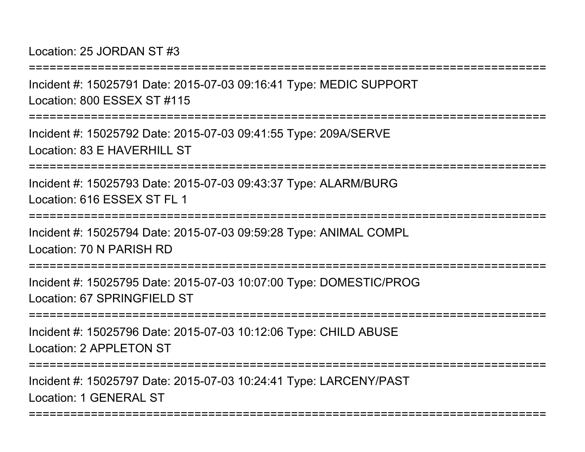Location: 25 JORDAN ST #3

Incident #: 15025791 Date: 2015-07-03 09:16:41 Type: MEDIC SUPPORTLocation: 800 ESSEX ST #115

===========================================================================

===========================================================================

Incident #: 15025792 Date: 2015-07-03 09:41:55 Type: 209A/SERVELocation: 83 F HAVERHILL ST

===========================================================================

Incident #: 15025793 Date: 2015-07-03 09:43:37 Type: ALARM/BURGLocation: 616 ESSEX ST FL 1

===========================================================================

Incident #: 15025794 Date: 2015-07-03 09:59:28 Type: ANIMAL COMPLLocation: 70 N PARISH RD

===========================================================================

Incident #: 15025795 Date: 2015-07-03 10:07:00 Type: DOMESTIC/PROGLocation: 67 SPRINGFIELD ST

===========================================================================

Incident #: 15025796 Date: 2015-07-03 10:12:06 Type: CHILD ABUSELocation: 2 APPL FTON ST

===========================================================================

===========================================================================

Incident #: 15025797 Date: 2015-07-03 10:24:41 Type: LARCENY/PASTLocation: 1 GENERAL ST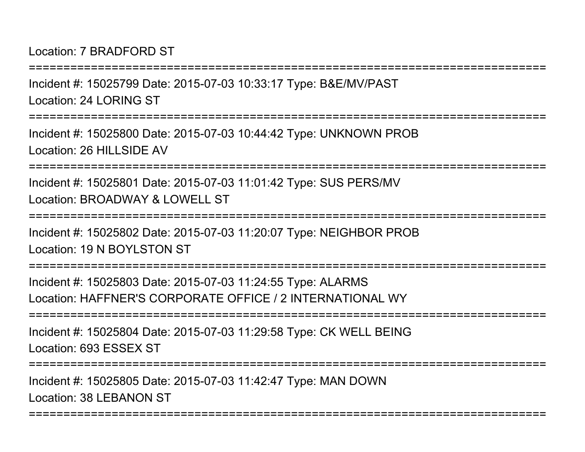Location: 7 BRADFORD ST

Incident #: 15025799 Date: 2015-07-03 10:33:17 Type: B&E/MV/PASTLocation: 24 LORING ST

===========================================================================

===========================================================================

Incident #: 15025800 Date: 2015-07-03 10:44:42 Type: UNKNOWN PROBLocation: 26 HILLSIDE AV

===========================================================================

Incident #: 15025801 Date: 2015-07-03 11:01:42 Type: SUS PERS/MVLocation: BROADWAY & LOWELL ST

===========================================================================

Incident #: 15025802 Date: 2015-07-03 11:20:07 Type: NEIGHBOR PROBLocation: 19 N BOYLSTON ST

===========================================================================

Incident #: 15025803 Date: 2015-07-03 11:24:55 Type: ALARMSLocation: HAFFNER'S CORPORATE OFFICE / 2 INTERNATIONAL WY

===========================================================================

Incident #: 15025804 Date: 2015-07-03 11:29:58 Type: CK WELL BEINGLocation: 693 ESSEX ST

===========================================================================

===========================================================================

Incident #: 15025805 Date: 2015-07-03 11:42:47 Type: MAN DOWNLocation: 38 LEBANON ST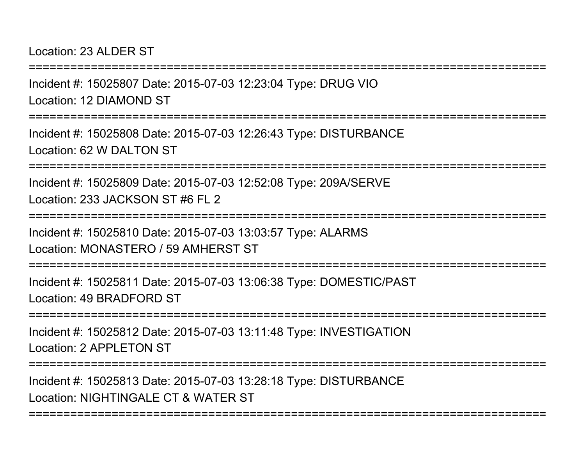Location: 23 ALDER ST

Incident #: 15025807 Date: 2015-07-03 12:23:04 Type: DRUG VIOLocation: 12 DIAMOND ST

===========================================================================

===========================================================================

Incident #: 15025808 Date: 2015-07-03 12:26:43 Type: DISTURBANCELocation: 62 W DALTON ST

===========================================================================

Incident #: 15025809 Date: 2015-07-03 12:52:08 Type: 209A/SERVELocation: 233 JACKSON ST #6 FL 2

==============

Incident #: 15025810 Date: 2015-07-03 13:03:57 Type: ALARMSLocation: MONASTERO / 59 AMHERST ST

===========================================================================

Incident #: 15025811 Date: 2015-07-03 13:06:38 Type: DOMESTIC/PASTLocation: 49 BRADFORD ST

===========================================================================

Incident #: 15025812 Date: 2015-07-03 13:11:48 Type: INVESTIGATIONLocation: 2 APPLETON ST

===========================================================================

===========================================================================

Incident #: 15025813 Date: 2015-07-03 13:28:18 Type: DISTURBANCELocation: NIGHTINGALE CT & WATER ST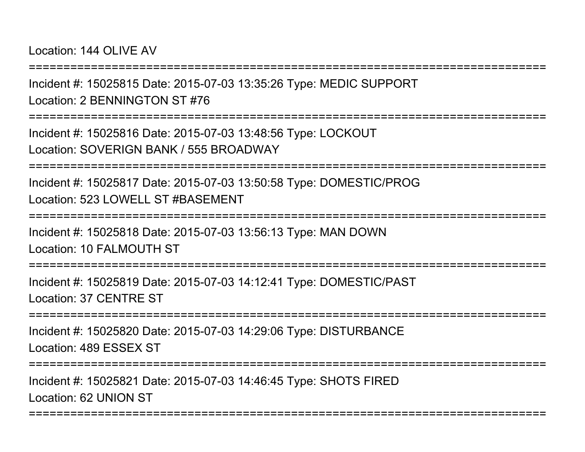Location: 144 OLIVE AV

===========================================================================

Incident #: 15025815 Date: 2015-07-03 13:35:26 Type: MEDIC SUPPORTLocation: 2 BENNINGTON ST #76

===========================================================================

Incident #: 15025816 Date: 2015-07-03 13:48:56 Type: LOCKOUTLocation: SOVERIGN BANK / 555 BROADWAY

===========================================================================

Incident #: 15025817 Date: 2015-07-03 13:50:58 Type: DOMESTIC/PROGLocation: 523 LOWELL ST #BASEMENT

===========================================================================

Incident #: 15025818 Date: 2015-07-03 13:56:13 Type: MAN DOWNLocation: 10 FALMOUTH ST

===========================================================================

Incident #: 15025819 Date: 2015-07-03 14:12:41 Type: DOMESTIC/PASTLocation: 37 CENTRE ST

===========================================================================

Incident #: 15025820 Date: 2015-07-03 14:29:06 Type: DISTURBANCELocation: 489 ESSEX ST

===========================================================================

===========================================================================

Incident #: 15025821 Date: 2015-07-03 14:46:45 Type: SHOTS FIREDLocation: 62 UNION ST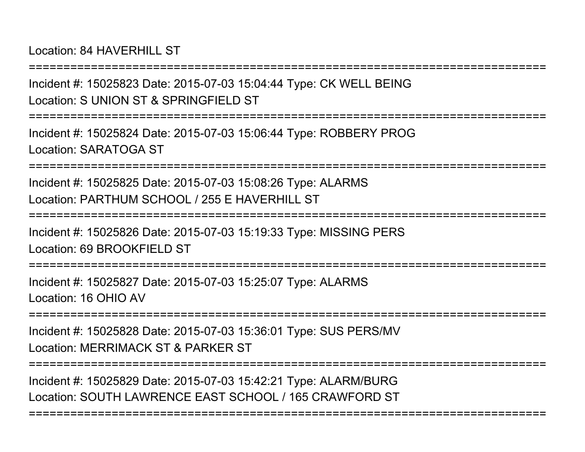Location: 84 HAVERHILL ST

Incident #: 15025823 Date: 2015-07-03 15:04:44 Type: CK WELL BEINGLocation: S UNION ST & SPRINGFIFLD ST

===========================================================================

===========================================================================

Incident #: 15025824 Date: 2015-07-03 15:06:44 Type: ROBBERY PROGLocation: SARATOGA ST

===========================================================================

Incident #: 15025825 Date: 2015-07-03 15:08:26 Type: ALARMSLocation: PARTHUM SCHOOL / 255 E HAVERHILL ST

===========================================================================

Incident #: 15025826 Date: 2015-07-03 15:19:33 Type: MISSING PERSLocation: 69 BROOKFIELD ST

===========================================================================

Incident #: 15025827 Date: 2015-07-03 15:25:07 Type: ALARMSLocation: 16 OHIO AV

===========================================================================

Incident #: 15025828 Date: 2015-07-03 15:36:01 Type: SUS PERS/MVLocation: MERRIMACK ST & PARKER ST

===========================================================================

===========================================================================

Incident #: 15025829 Date: 2015-07-03 15:42:21 Type: ALARM/BURGLocation: SOUTH LAWRENCE EAST SCHOOL / 165 CRAWFORD ST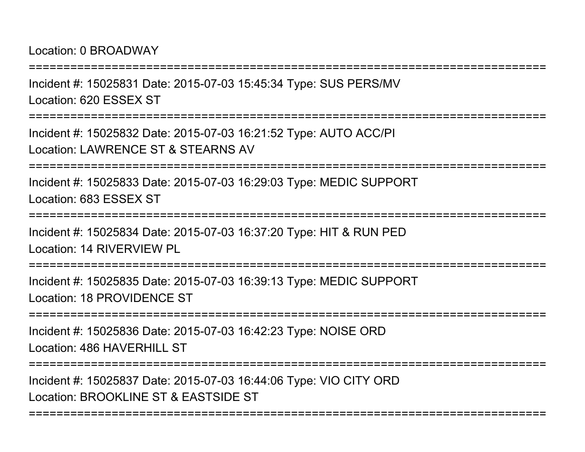Location: 0 BROADWAY

Incident #: 15025831 Date: 2015-07-03 15:45:34 Type: SUS PERS/MVLocation: 620 ESSEX ST

===========================================================================

===========================================================================

Incident #: 15025832 Date: 2015-07-03 16:21:52 Type: AUTO ACC/PILocation: LAWRENCE ST & STEARNS AV

===========================================================================

Incident #: 15025833 Date: 2015-07-03 16:29:03 Type: MEDIC SUPPORTLocation: 683 ESSEX ST

===========================================================================

Incident #: 15025834 Date: 2015-07-03 16:37:20 Type: HIT & RUN PEDLocation: 14 RIVERVIEW PL

===========================================================================

Incident #: 15025835 Date: 2015-07-03 16:39:13 Type: MEDIC SUPPORTLocation: 18 PROVIDENCE ST

===========================================================================

Incident #: 15025836 Date: 2015-07-03 16:42:23 Type: NOISE ORDLocation: 486 HAVERHILL ST

===========================================================================

===========================================================================

Incident #: 15025837 Date: 2015-07-03 16:44:06 Type: VIO CITY ORDLocation: BROOKLINE ST & EASTSIDE ST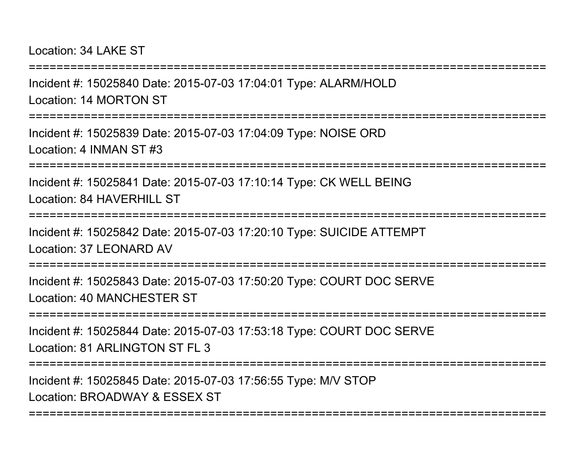Location: 34 LAKE ST

Incident #: 15025840 Date: 2015-07-03 17:04:01 Type: ALARM/HOLDLocation: 14 MORTON ST

===========================================================================

===========================================================================

Incident #: 15025839 Date: 2015-07-03 17:04:09 Type: NOISE ORDLocation: 4 INMAN ST #3

===========================================================================

Incident #: 15025841 Date: 2015-07-03 17:10:14 Type: CK WELL BEINGLocation: 84 HAVERHILL ST

===========================================================================

Incident #: 15025842 Date: 2015-07-03 17:20:10 Type: SUICIDE ATTEMPTLocation: 37 LEONARD AV

===========================================================================

Incident #: 15025843 Date: 2015-07-03 17:50:20 Type: COURT DOC SERVELocation: 40 MANCHESTER ST

================

Incident #: 15025844 Date: 2015-07-03 17:53:18 Type: COURT DOC SERVELocation: 81 ARLINGTON ST FL 3

===========================================================================

===========================================================================

Incident #: 15025845 Date: 2015-07-03 17:56:55 Type: M/V STOPLocation: BROADWAY & ESSEX ST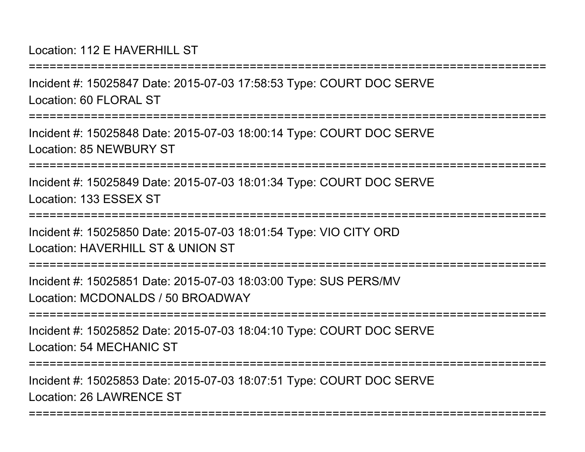Location: 112 E HAVERHILL ST

Incident #: 15025847 Date: 2015-07-03 17:58:53 Type: COURT DOC SERVELocation: 60 FLORAL ST

===========================================================================

===========================================================================

Incident #: 15025848 Date: 2015-07-03 18:00:14 Type: COURT DOC SERVELocation: 85 NEWBURY ST

===========================================================================

Incident #: 15025849 Date: 2015-07-03 18:01:34 Type: COURT DOC SERVELocation: 133 ESSEX ST

===========================================================================

Incident #: 15025850 Date: 2015-07-03 18:01:54 Type: VIO CITY ORDLocation: HAVERHILL ST & UNION ST

===========================================================================

Incident #: 15025851 Date: 2015-07-03 18:03:00 Type: SUS PERS/MVLocation: MCDONALDS / 50 BROADWAY

===========================================================================

Incident #: 15025852 Date: 2015-07-03 18:04:10 Type: COURT DOC SERVELocation: 54 MECHANIC ST

```
===========================================================================
```
===========================================================================

Incident #: 15025853 Date: 2015-07-03 18:07:51 Type: COURT DOC SERVELocation: 26 LAWRENCE ST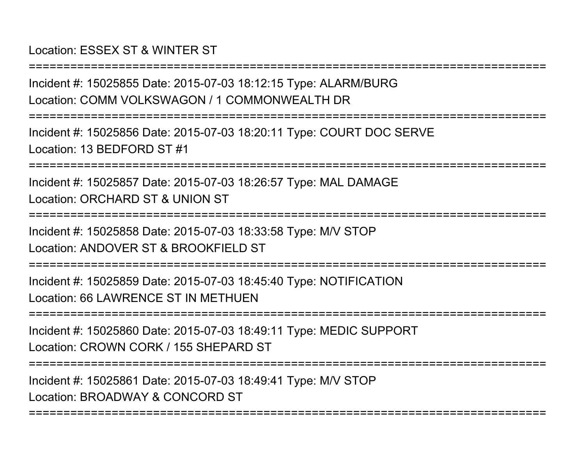## Location: ESSEX ST & WINTER ST

Incident #: 15025855 Date: 2015-07-03 18:12:15 Type: ALARM/BURGLocation: COMM VOLKSWAGON / 1 COMMONWEALTH DR

===========================================================================

===========================================================================

Incident #: 15025856 Date: 2015-07-03 18:20:11 Type: COURT DOC SERVELocation: 13 BEDFORD ST #1

===========================================================================

Incident #: 15025857 Date: 2015-07-03 18:26:57 Type: MAL DAMAGELocation: ORCHARD ST & UNION ST

===========================================================================

Incident #: 15025858 Date: 2015-07-03 18:33:58 Type: M/V STOPLocation: ANDOVER ST & BROOKFIFLD ST

===========================================================================

Incident #: 15025859 Date: 2015-07-03 18:45:40 Type: NOTIFICATIONLocation: 66 LAWRENCE ST IN METHUEN

===========================================================================

Incident #: 15025860 Date: 2015-07-03 18:49:11 Type: MEDIC SUPPORTLocation: CROWN CORK / 155 SHEPARD ST

===========================================================================

Incident #: 15025861 Date: 2015-07-03 18:49:41 Type: M/V STOPLocation: BROADWAY & CONCORD ST

===========================================================================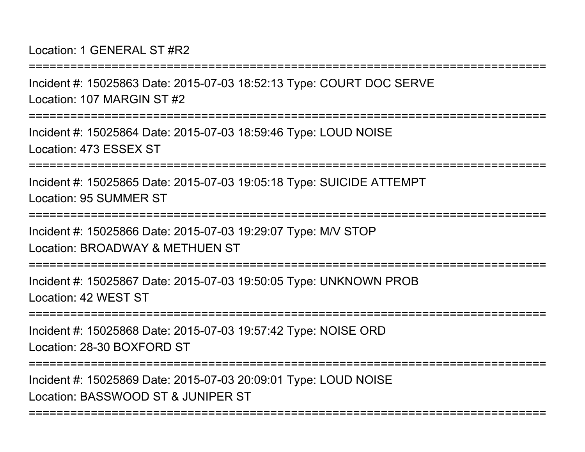Location: 1 GENERAL ST #R2

===========================================================================

Incident #: 15025863 Date: 2015-07-03 18:52:13 Type: COURT DOC SERVELocation: 107 MARGIN ST #2

===========================================================================

Incident #: 15025864 Date: 2015-07-03 18:59:46 Type: LOUD NOISELocation: 473 ESSEX ST

===========================================================================

Incident #: 15025865 Date: 2015-07-03 19:05:18 Type: SUICIDE ATTEMPTLocation: 95 SUMMER ST

===========================================================================

Incident #: 15025866 Date: 2015-07-03 19:29:07 Type: M/V STOP

Location: BROADWAY & METHUEN ST

===========================================================================

Incident #: 15025867 Date: 2015-07-03 19:50:05 Type: UNKNOWN PROBLocation: 42 WEST ST

===========================================================================

Incident #: 15025868 Date: 2015-07-03 19:57:42 Type: NOISE ORDLocation: 28-30 BOXFORD ST

===========================================================================

===========================================================================

Incident #: 15025869 Date: 2015-07-03 20:09:01 Type: LOUD NOISELocation: BASSWOOD ST & JUNIPER ST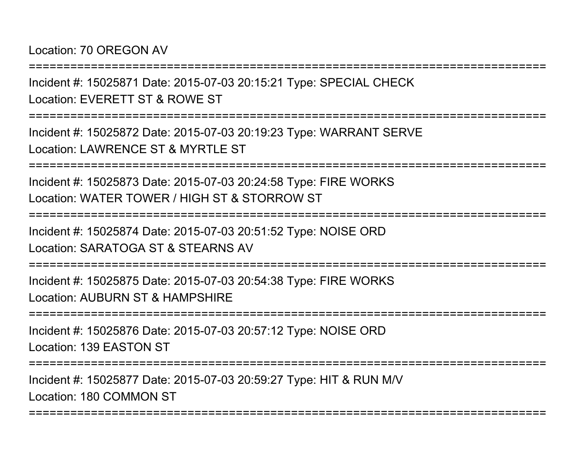Location: 70 OREGON AV

===========================================================================

Incident #: 15025871 Date: 2015-07-03 20:15:21 Type: SPECIAL CHECKLocation: EVERETT ST & ROWE ST

===========================================================================

Incident #: 15025872 Date: 2015-07-03 20:19:23 Type: WARRANT SERVELocation: LAWRENCE ST & MYRTLE ST

===========================================================================

Incident #: 15025873 Date: 2015-07-03 20:24:58 Type: FIRE WORKSLocation: WATER TOWER / HIGH ST & STORROW ST

===========================================================================

Incident #: 15025874 Date: 2015-07-03 20:51:52 Type: NOISE ORDLocation: SARATOGA ST & STEARNS AV

===========================================================================

Incident #: 15025875 Date: 2015-07-03 20:54:38 Type: FIRE WORKSLocation: AUBURN ST & HAMPSHIRE

===========================================================================

Incident #: 15025876 Date: 2015-07-03 20:57:12 Type: NOISE ORDLocation: 139 EASTON ST

===========================================================================

===========================================================================

Incident #: 15025877 Date: 2015-07-03 20:59:27 Type: HIT & RUN M/VLocation: 180 COMMON ST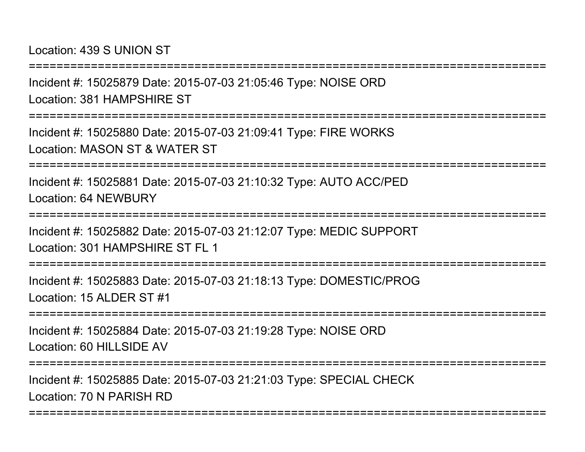Location: 439 S UNION ST

Incident #: 15025879 Date: 2015-07-03 21:05:46 Type: NOISE ORDLocation: 381 HAMPSHIRE ST

===========================================================================

===========================================================================

Incident #: 15025880 Date: 2015-07-03 21:09:41 Type: FIRE WORKSLocation: MASON ST & WATER ST

===========================================================================

Incident #: 15025881 Date: 2015-07-03 21:10:32 Type: AUTO ACC/PEDLocation: 64 NEWBURY

===========================================================================

Incident #: 15025882 Date: 2015-07-03 21:12:07 Type: MEDIC SUPPORTLocation: 301 HAMPSHIRF ST FL 1

===========================================================================

Incident #: 15025883 Date: 2015-07-03 21:18:13 Type: DOMESTIC/PROGLocation: 15 ALDER ST #1

===========================================================================

Incident #: 15025884 Date: 2015-07-03 21:19:28 Type: NOISE ORDLocation: 60 HILLSIDE AV

===========================================================================

===========================================================================

Incident #: 15025885 Date: 2015-07-03 21:21:03 Type: SPECIAL CHECKLocation: 70 N PARISH RD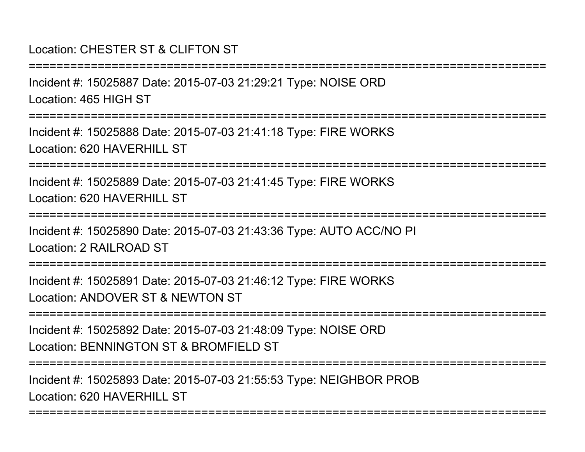# Location: CHESTER ST & CLIFTON ST

Incident #: 15025887 Date: 2015-07-03 21:29:21 Type: NOISE ORDLocation: 465 HIGH ST

===========================================================================

===========================================================================

Incident #: 15025888 Date: 2015-07-03 21:41:18 Type: FIRE WORKSLocation: 620 HAVERHILL ST

===========================================================================

Incident #: 15025889 Date: 2015-07-03 21:41:45 Type: FIRE WORKSLocation: 620 HAVERHILL ST

===========================================================================

Incident #: 15025890 Date: 2015-07-03 21:43:36 Type: AUTO ACC/NO PILocation: 2 RAILROAD ST

===========================================================================

Incident #: 15025891 Date: 2015-07-03 21:46:12 Type: FIRE WORKSLocation: ANDOVER ST & NEWTON ST

===========================================================================

Incident #: 15025892 Date: 2015-07-03 21:48:09 Type: NOISE ORDLocation: BENNINGTON ST & BROMFIELD ST

===========================================================================

===========================================================================

Incident #: 15025893 Date: 2015-07-03 21:55:53 Type: NEIGHBOR PROBLocation: 620 HAVERHILL ST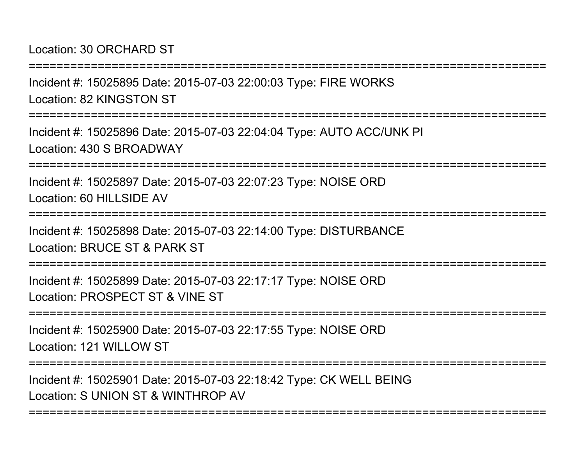Location: 30 ORCHARD ST

Incident #: 15025895 Date: 2015-07-03 22:00:03 Type: FIRE WORKSLocation: 82 KINGSTON ST

===========================================================================

===========================================================================

Incident #: 15025896 Date: 2015-07-03 22:04:04 Type: AUTO ACC/UNK PILocation: 430 S BROADWAY

===========================================================================

Incident #: 15025897 Date: 2015-07-03 22:07:23 Type: NOISE ORDLocation: 60 HILLSIDE AV

===========================================================================

Incident #: 15025898 Date: 2015-07-03 22:14:00 Type: DISTURBANCELocation: BRUCE ST & PARK ST

===========================================================================

Incident #: 15025899 Date: 2015-07-03 22:17:17 Type: NOISE ORDLocation: PROSPECT ST & VINE ST

===========================================================================

Incident #: 15025900 Date: 2015-07-03 22:17:55 Type: NOISE ORDLocation: 121 WILLOW ST

===========================================================================

===========================================================================

Incident #: 15025901 Date: 2015-07-03 22:18:42 Type: CK WELL BEINGLocation: S UNION ST & WINTHROP AV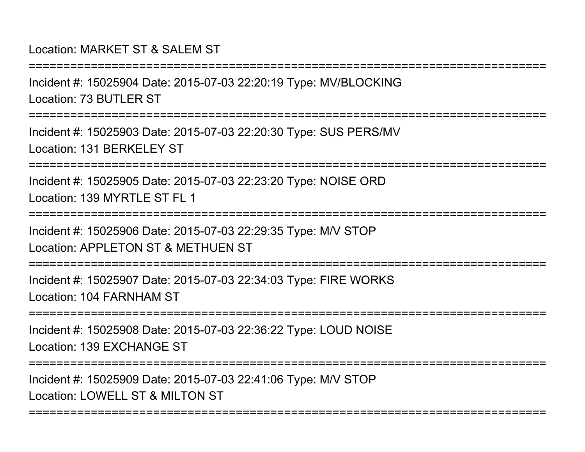### Location: MARKET ST & SALEM ST

Incident #: 15025904 Date: 2015-07-03 22:20:19 Type: MV/BLOCKINGLocation: 73 BUTLER ST

===========================================================================

===========================================================================

Incident #: 15025903 Date: 2015-07-03 22:20:30 Type: SUS PERS/MVLocation: 131 BERKELEY ST

===========================================================================

Incident #: 15025905 Date: 2015-07-03 22:23:20 Type: NOISE ORDLocation: 139 MYRTLE ST FL 1

===========================================================================

Incident #: 15025906 Date: 2015-07-03 22:29:35 Type: M/V STOPLocation: APPLETON ST & METHUEN ST

=================

Incident #: 15025907 Date: 2015-07-03 22:34:03 Type: FIRE WORKSLocation: 104 FARNHAM ST

===========================================================================

Incident #: 15025908 Date: 2015-07-03 22:36:22 Type: LOUD NOISELocation: 139 EXCHANGE ST

===========================================================================

===========================================================================

Incident #: 15025909 Date: 2015-07-03 22:41:06 Type: M/V STOPLocation: LOWELL ST & MILTON ST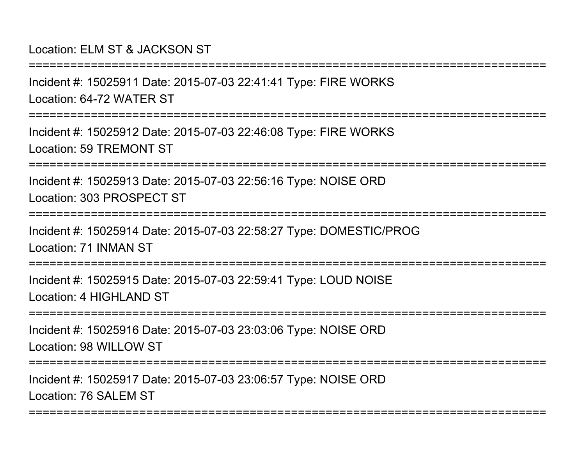Location: ELM ST & JACKSON ST

Incident #: 15025911 Date: 2015-07-03 22:41:41 Type: FIRE WORKSLocation: 64-72 WATER ST

===========================================================================

===========================================================================

Incident #: 15025912 Date: 2015-07-03 22:46:08 Type: FIRE WORKSLocation: 59 TREMONT ST

===========================================================================

Incident #: 15025913 Date: 2015-07-03 22:56:16 Type: NOISE ORDLocation: 303 PROSPECT ST

===========================================================================

Incident #: 15025914 Date: 2015-07-03 22:58:27 Type: DOMESTIC/PROGLocation: 71 INMAN ST

===========================================================================

Incident #: 15025915 Date: 2015-07-03 22:59:41 Type: LOUD NOISELocation: 4 HIGHLAND ST

===========================================================================

Incident #: 15025916 Date: 2015-07-03 23:03:06 Type: NOISE ORDLocation: 98 WILLOW ST

===========================================================================

===========================================================================

Incident #: 15025917 Date: 2015-07-03 23:06:57 Type: NOISE ORDLocation: 76 SALEM ST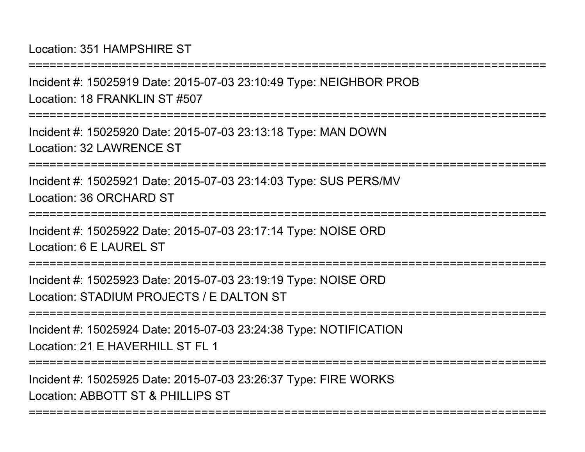Location: 351 HAMPSHIRE ST

Incident #: 15025919 Date: 2015-07-03 23:10:49 Type: NEIGHBOR PROBLocation: 18 FRANKLIN ST #507

===========================================================================

===========================================================================

Incident #: 15025920 Date: 2015-07-03 23:13:18 Type: MAN DOWNLocation: 32 LAWRENCE ST

===========================================================================

Incident #: 15025921 Date: 2015-07-03 23:14:03 Type: SUS PERS/MVLocation: 36 ORCHARD ST

===========================================================================

Incident #: 15025922 Date: 2015-07-03 23:17:14 Type: NOISE ORDLocation: 6 F LAUREL ST

===========================================================================

Incident #: 15025923 Date: 2015-07-03 23:19:19 Type: NOISE ORDLocation: STADIUM PROJECTS / E DALTON ST

===========================================================================

Incident #: 15025924 Date: 2015-07-03 23:24:38 Type: NOTIFICATIONLocation: 21 F HAVERHILL ST FL 1

===========================================================================

===========================================================================

Incident #: 15025925 Date: 2015-07-03 23:26:37 Type: FIRE WORKSLocation: ABBOTT ST & PHILLIPS ST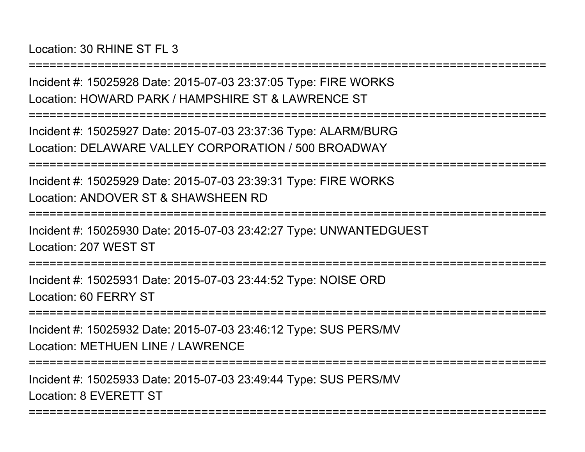Incident #: 15025928 Date: 2015-07-03 23:37:05 Type: FIRE WORKSLocation: HOWARD PARK / HAMPSHIRE ST & LAWRENCE ST

===========================================================================

===========================================================================

Incident #: 15025927 Date: 2015-07-03 23:37:36 Type: ALARM/BURGLocation: DELAWARE VALLEY CORPORATION / 500 BROADWAY

===========================================================================

Incident #: 15025929 Date: 2015-07-03 23:39:31 Type: FIRE WORKSLocation: ANDOVER ST & SHAWSHEEN RD

===========================================================================

Incident #: 15025930 Date: 2015-07-03 23:42:27 Type: UNWANTEDGUESTLocation: 207 WEST ST

===========================================================================

Incident #: 15025931 Date: 2015-07-03 23:44:52 Type: NOISE ORDLocation: 60 FERRY ST

================

Incident #: 15025932 Date: 2015-07-03 23:46:12 Type: SUS PERS/MVLocation: METHUEN LINE / LAWRENCE

===========================================================================

===========================================================================

Incident #: 15025933 Date: 2015-07-03 23:49:44 Type: SUS PERS/MVLocation: 8 EVERETT ST